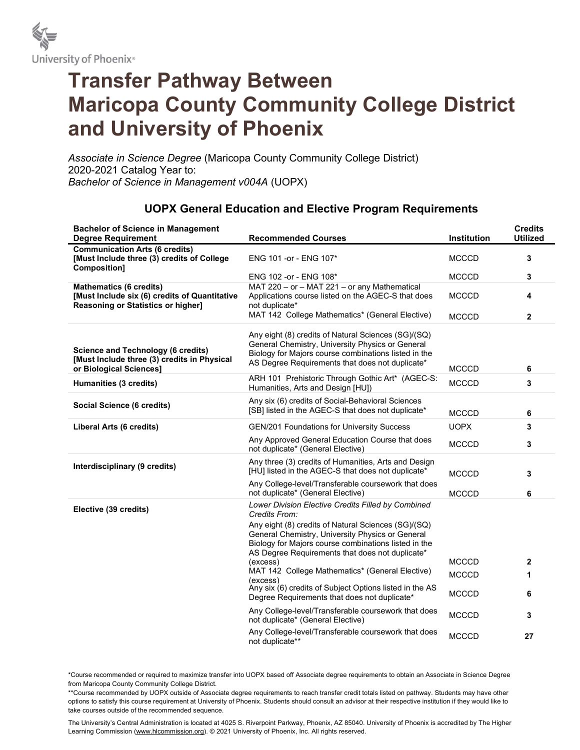

## Transfer Pathway Between Maricopa County Community College District and University of Phoenix

Associate in Science Degree (Maricopa County Community College District) 2020-2021 Catalog Year to: Bachelor of Science in Management v004A (UOPX)

| <b>Bachelor of Science in Management</b>                                                                              |                                                                                                                                                                                                                    |              | <b>Credits</b>  |
|-----------------------------------------------------------------------------------------------------------------------|--------------------------------------------------------------------------------------------------------------------------------------------------------------------------------------------------------------------|--------------|-----------------|
| <b>Degree Requirement</b>                                                                                             | <b>Recommended Courses</b>                                                                                                                                                                                         | Institution  | <b>Utilized</b> |
| <b>Communication Arts (6 credits)</b><br>[Must Include three (3) credits of College<br>Composition]                   | ENG 101 - or - ENG 107*                                                                                                                                                                                            | <b>MCCCD</b> | 3               |
|                                                                                                                       | ENG 102 -or - ENG 108*                                                                                                                                                                                             | <b>MCCCD</b> | 3               |
| <b>Mathematics (6 credits)</b><br>[Must Include six (6) credits of Quantitative<br>Reasoning or Statistics or higher] | MAT 220 - or - MAT 221 - or any Mathematical<br>Applications course listed on the AGEC-S that does<br>not duplicate*                                                                                               | <b>MCCCD</b> | 4               |
|                                                                                                                       | MAT 142 College Mathematics* (General Elective)                                                                                                                                                                    | <b>MCCCD</b> | 2               |
| <b>Science and Technology (6 credits)</b><br>[Must Include three (3) credits in Physical<br>or Biological Sciences]   | Any eight (8) credits of Natural Sciences (SG)/(SQ)<br>General Chemistry, University Physics or General<br>Biology for Majors course combinations listed in the<br>AS Degree Requirements that does not duplicate* | <b>MCCCD</b> | 6               |
| Humanities (3 credits)                                                                                                | ARH 101 Prehistoric Through Gothic Art* (AGEC-S:<br>Humanities, Arts and Design [HU])                                                                                                                              | <b>MCCCD</b> | 3               |
| Social Science (6 credits)                                                                                            | Any six (6) credits of Social-Behavioral Sciences<br>[SB] listed in the AGEC-S that does not duplicate*                                                                                                            | <b>MCCCD</b> | 6               |
| Liberal Arts (6 credits)                                                                                              | GEN/201 Foundations for University Success                                                                                                                                                                         | <b>UOPX</b>  | 3               |
|                                                                                                                       | Any Approved General Education Course that does<br>not duplicate* (General Elective)                                                                                                                               | <b>MCCCD</b> | 3               |
| Interdisciplinary (9 credits)                                                                                         | Any three (3) credits of Humanities, Arts and Design<br>[HU] listed in the AGEC-S that does not duplicate*                                                                                                         | <b>MCCCD</b> | 3               |
|                                                                                                                       | Any College-level/Transferable coursework that does<br>not duplicate* (General Elective)                                                                                                                           | <b>MCCCD</b> | 6               |
| Elective (39 credits)                                                                                                 | Lower Division Elective Credits Filled by Combined<br>Credits From:                                                                                                                                                |              |                 |
|                                                                                                                       | Any eight (8) credits of Natural Sciences (SG)/(SQ)<br>General Chemistry, University Physics or General<br>Biology for Majors course combinations listed in the<br>AS Degree Requirements that does not duplicate* |              |                 |
|                                                                                                                       | (excess)                                                                                                                                                                                                           | <b>MCCCD</b> | $\mathbf{2}$    |
|                                                                                                                       | MAT 142 College Mathematics* (General Elective)                                                                                                                                                                    | <b>MCCCD</b> | 1               |
|                                                                                                                       | (excess)<br>Any six (6) credits of Subject Options listed in the AS<br>Degree Requirements that does not duplicate*                                                                                                | <b>MCCCD</b> | 6               |
|                                                                                                                       | Any College-level/Transferable coursework that does<br>not duplicate* (General Elective)                                                                                                                           | <b>MCCCD</b> | 3               |
|                                                                                                                       | Any College-level/Transferable coursework that does<br>not duplicate**                                                                                                                                             | <b>MCCCD</b> | 27              |

## UOPX General Education and Elective Program Requirements

\*Course recommended or required to maximize transfer into UOPX based off Associate degree requirements to obtain an Associate in Science Degree from Maricopa County Community College District.

\*\*Course recommended by UOPX outside of Associate degree requirements to reach transfer credit totals listed on pathway. Students may have other options to satisfy this course requirement at University of Phoenix. Students should consult an advisor at their respective institution if they would like to take courses outside of the recommended sequence.

The University's Central Administration is located at 4025 S. Riverpoint Parkway, Phoenix, AZ 85040. University of Phoenix is accredited by The Higher Learning Commission (www.hlcommission.org). © 2021 University of Phoenix, Inc. All rights reserved.